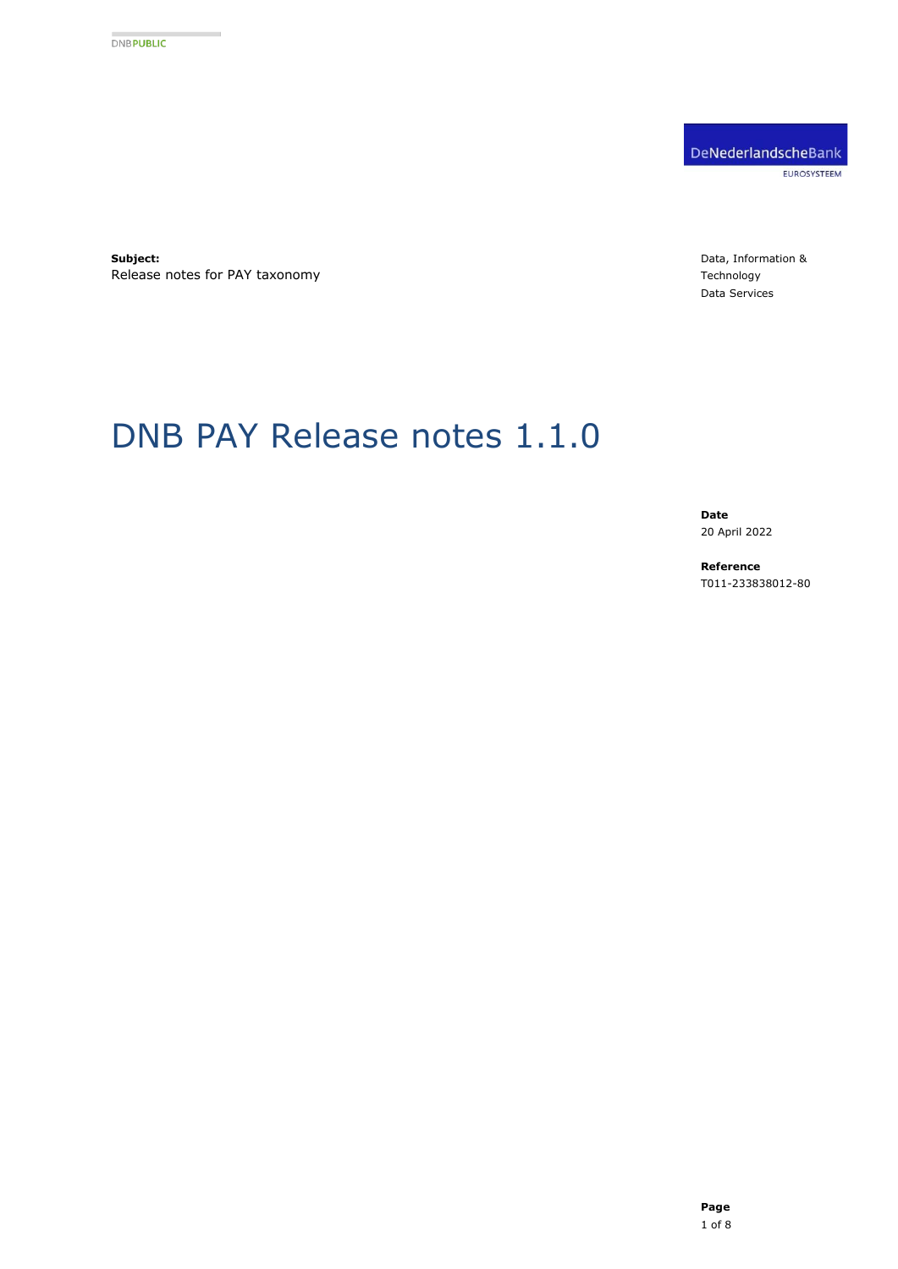DeNederlandscheBank EUROSYSTEEM

**Subject:** Release notes for PAY taxonomy Data, Information & Technology Data Services

# DNB PAY Release notes 1.1.0

**Date** 20 April 2022

**Reference** T011-233838012-80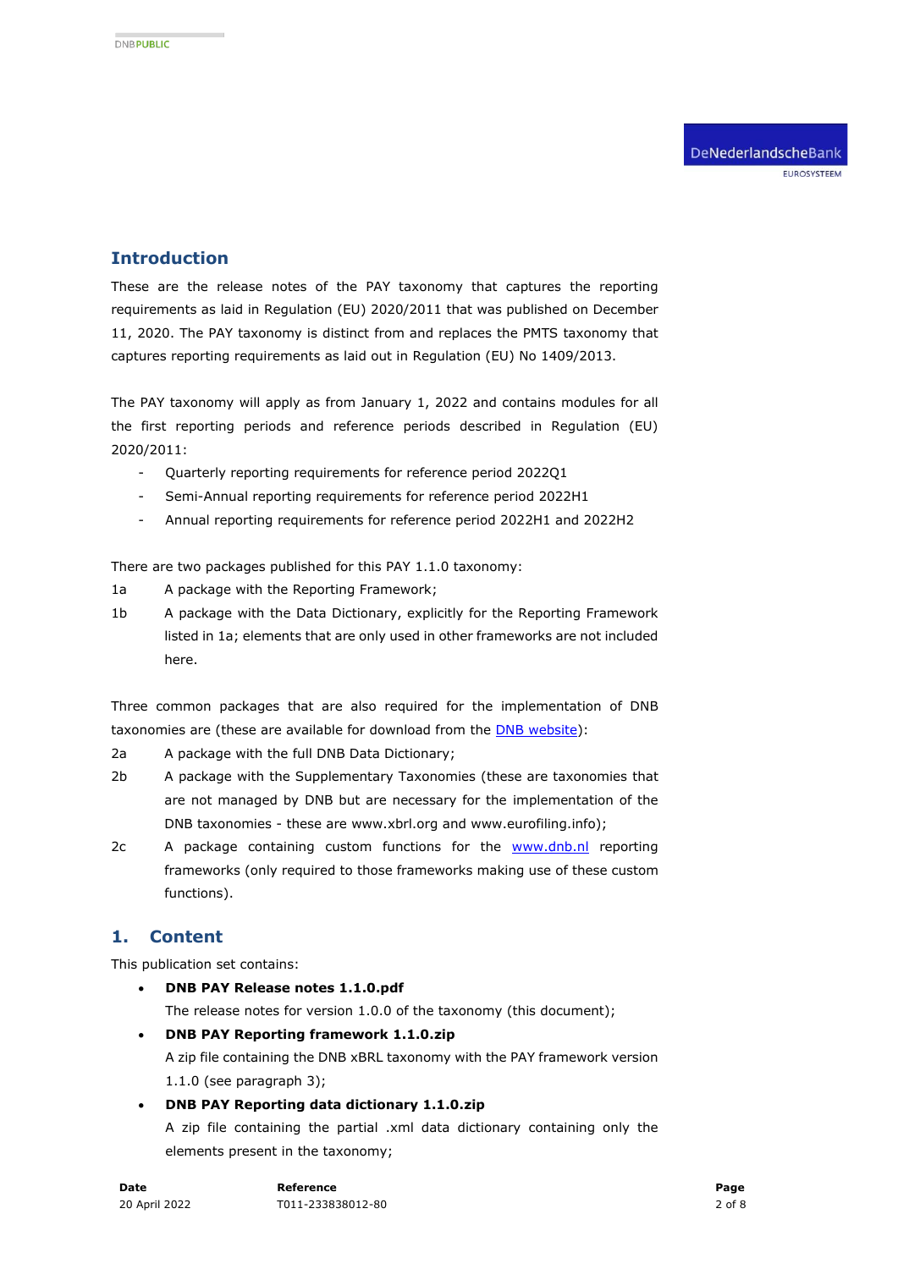# **Introduction**

These are the release notes of the PAY taxonomy that captures the reporting requirements as laid in Regulation (EU) 2020/2011 that was published on December 11, 2020. The PAY taxonomy is distinct from and replaces the PMTS taxonomy that captures reporting requirements as laid out in Regulation (EU) No 1409/2013.

The PAY taxonomy will apply as from January 1, 2022 and contains modules for all the first reporting periods and reference periods described in Regulation (EU) 2020/2011:

- Quarterly reporting requirements for reference period 2022Q1
- Semi-Annual reporting requirements for reference period 2022H1
- Annual reporting requirements for reference period 2022H1 and 2022H2

There are two packages published for this PAY 1.1.0 taxonomy:

- 1a A package with the Reporting Framework;
- 1b A package with the Data Dictionary, explicitly for the Reporting Framework listed in 1a; elements that are only used in other frameworks are not included here.

Three common packages that are also required for the implementation of DNB taxonomies are (these are available for download from the **DNB** website):

2a A package with the full DNB Data Dictionary;

- 2b A package with the Supplementary Taxonomies (these are taxonomies that are not managed by DNB but are necessary for the implementation of the DNB taxonomies - these are www.xbrl.org and www.eurofiling.info);
- 2c A package containing custom functions for the [www.dnb.nl](http://www.dnb.nl/) reporting frameworks (only required to those frameworks making use of these custom functions).

# **1. Content**

This publication set contains:

- **DNB PAY Release notes 1.1.0.pdf** The release notes for version 1.0.0 of the taxonomy (this document);
- **DNB PAY Reporting framework 1.1.0.zip**  A zip file containing the DNB xBRL taxonomy with the PAY framework version 1.1.0 (see paragraph [3\)](#page-3-0);
- **DNB PAY Reporting data dictionary 1.1.0.zip** A zip file containing the partial .xml data dictionary containing only the elements present in the taxonomy;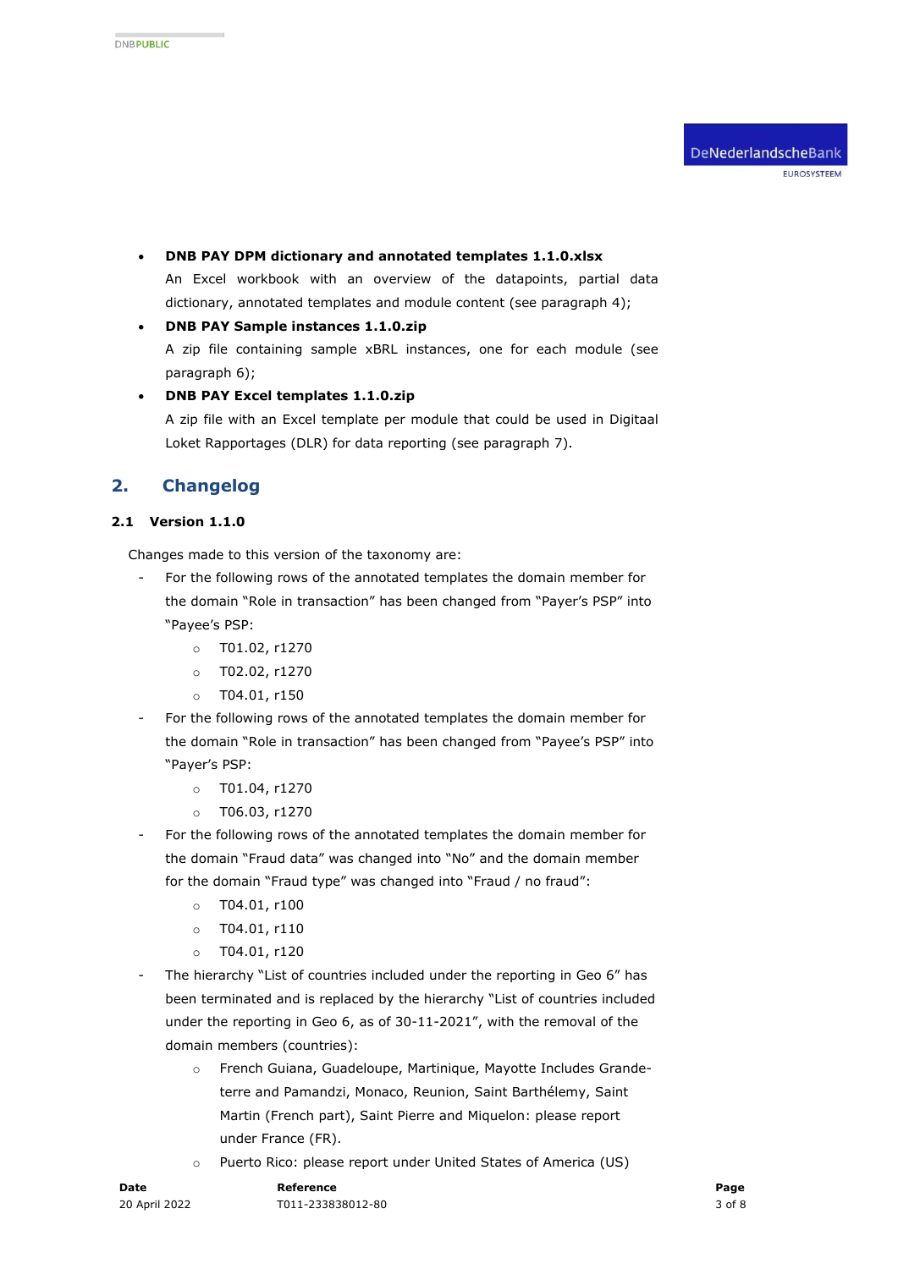- **DNB PAY DPM dictionary and annotated templates 1.1.0.xlsx**  An Excel workbook with an overview of the datapoints, partial data dictionary, annotated templates and module content (see paragraph [4\)](#page-4-0);
- **DNB PAY Sample instances 1.1.0.zip**  A zip file containing sample xBRL instances, one for each module (see paragraph [6\)](#page-5-0);
- **DNB PAY Excel templates 1.1.0.zip** A zip file with an Excel template per module that could be used in Digitaal Loket Rapportages (DLR) for data reporting (see paragraph [7\)](#page-5-1).

# **2. Changelog**

#### **2.1 Version 1.1.0**

Changes made to this version of the taxonomy are:

- For the following rows of the annotated templates the domain member for the domain "Role in transaction" has been changed from "Payer's PSP" into "Payee's PSP:
	- o T01.02, r1270
	- o T02.02, r1270
	- $o$  T04.01, r150
- For the following rows of the annotated templates the domain member for the domain "Role in transaction" has been changed from "Payee's PSP" into "Payer's PSP:
	- o T01.04, r1270
	- o T06.03, r1270
- For the following rows of the annotated templates the domain member for the domain "Fraud data" was changed into "No" and the domain member for the domain "Fraud type" was changed into "Fraud / no fraud":
	- $o$  T04.01, r100
	- $o$  T04.01, r110
	- $o$  T04.01, r120
- The hierarchy "List of countries included under the reporting in Geo 6" has been terminated and is replaced by the hierarchy "List of countries included under the reporting in Geo 6, as of 30-11-2021", with the removal of the domain members (countries):
	- o French Guiana, Guadeloupe, Martinique, Mayotte Includes Grandeterre and Pamandzi, Monaco, Reunion, Saint Barthélemy, Saint Martin (French part), Saint Pierre and Miquelon: please report under France (FR).
	- o Puerto Rico: please report under United States of America (US)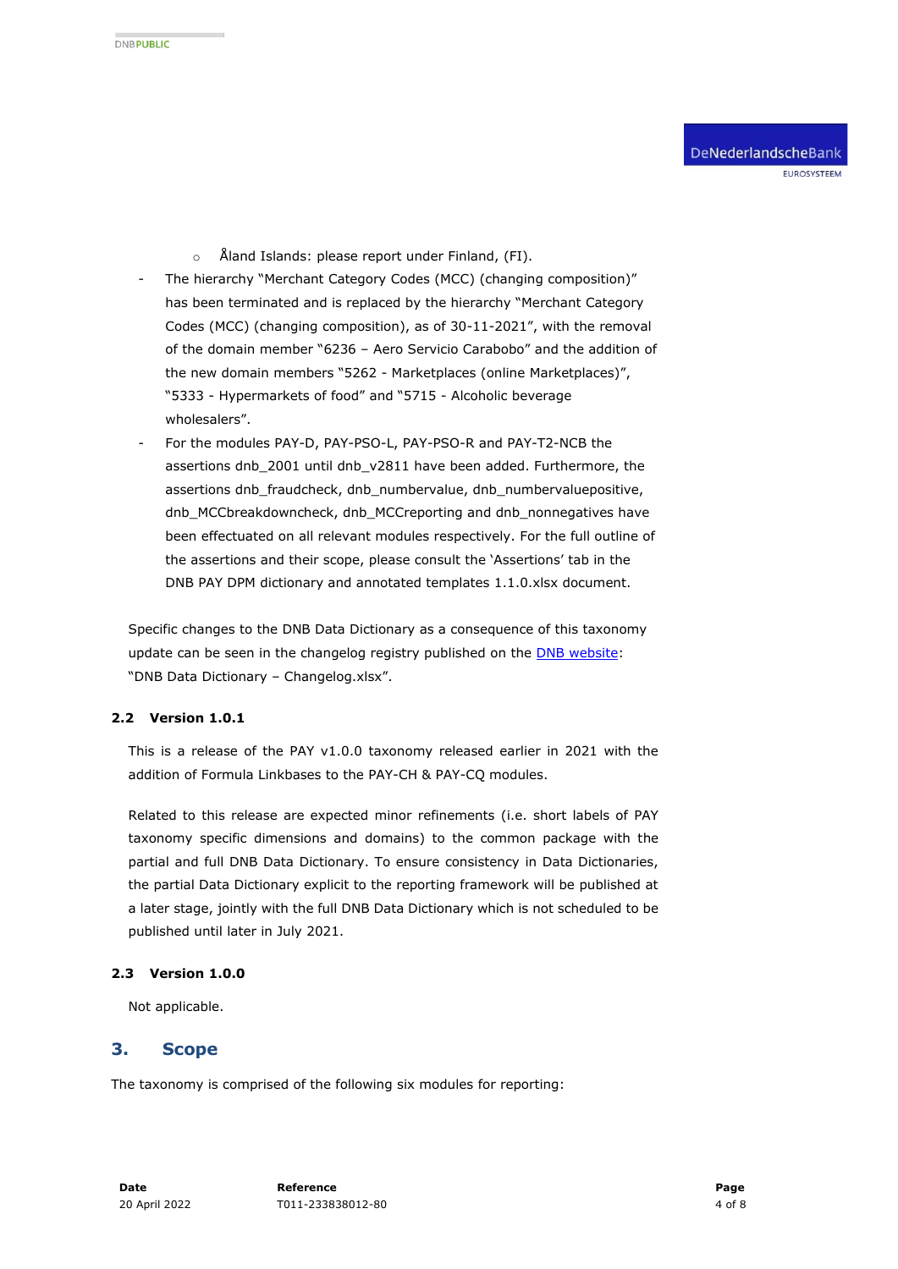- o Åland Islands: please report under Finland, (FI).
- The hierarchy "Merchant Category Codes (MCC) (changing composition)" has been terminated and is replaced by the hierarchy "Merchant Category Codes (MCC) (changing composition), as of 30-11-2021", with the removal of the domain member "6236 – Aero Servicio Carabobo" and the addition of the new domain members "5262 - Marketplaces (online Marketplaces)", "5333 - Hypermarkets of food" and "5715 - Alcoholic beverage wholesalers".
- For the modules PAY-D, PAY-PSO-L, PAY-PSO-R and PAY-T2-NCB the assertions dnb\_2001 until dnb\_v2811 have been added. Furthermore, the assertions dnb\_fraudcheck, dnb\_numbervalue, dnb\_numbervaluepositive, dnb\_MCCbreakdowncheck, dnb\_MCCreporting and dnb\_nonnegatives have been effectuated on all relevant modules respectively. For the full outline of the assertions and their scope, please consult the 'Assertions' tab in the DNB PAY DPM dictionary and annotated templates 1.1.0.xlsx document.

Specific changes to the DNB Data Dictionary as a consequence of this taxonomy update can be seen in the changelog registry published on the **DNB website:** "DNB Data Dictionary – Changelog.xlsx".

#### **2.2 Version 1.0.1**

This is a release of the PAY v1.0.0 taxonomy released earlier in 2021 with the addition of Formula Linkbases to the PAY-CH & PAY-CQ modules.

Related to this release are expected minor refinements (i.e. short labels of PAY taxonomy specific dimensions and domains) to the common package with the partial and full DNB Data Dictionary. To ensure consistency in Data Dictionaries, the partial Data Dictionary explicit to the reporting framework will be published at a later stage, jointly with the full DNB Data Dictionary which is not scheduled to be published until later in July 2021.

#### **2.3 Version 1.0.0**

Not applicable.

### <span id="page-3-0"></span>**3. Scope**

The taxonomy is comprised of the following six modules for reporting: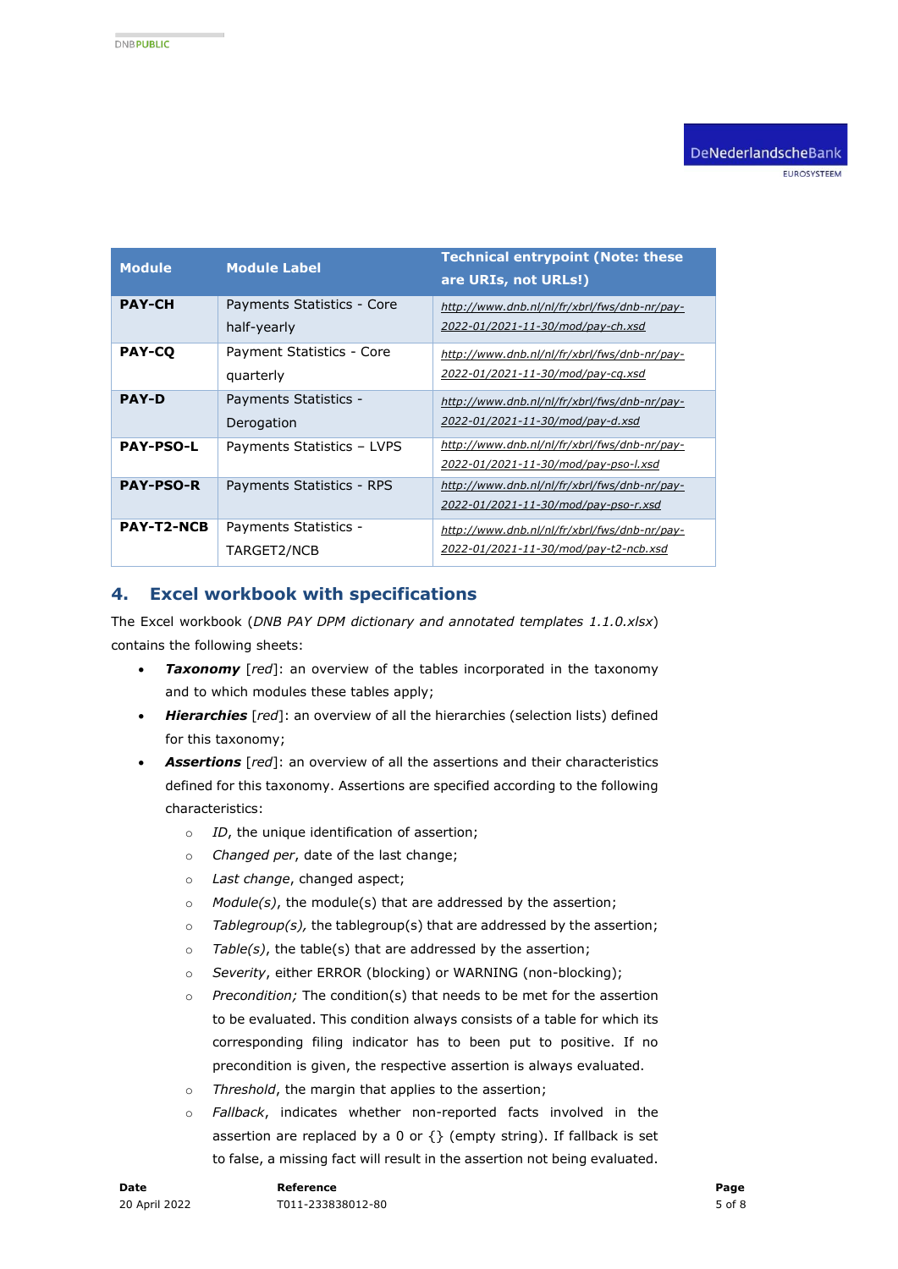EUROSYSTEEM

| <b>Module</b>     | <b>Module Label</b>                       | <b>Technical entrypoint (Note: these</b><br>are URIs, not URLs!)                      |
|-------------------|-------------------------------------------|---------------------------------------------------------------------------------------|
| <b>PAY-CH</b>     | Payments Statistics - Core<br>half-yearly | http://www.dnb.nl/nl/fr/xbrl/fws/dnb-nr/pay-<br>2022-01/2021-11-30/mod/pay-ch.xsd     |
| <b>PAY-CO</b>     | Payment Statistics - Core<br>quarterly    | http://www.dnb.nl/nl/fr/xbrl/fws/dnb-nr/pay-<br>2022-01/2021-11-30/mod/pay-cq.xsd     |
| <b>PAY-D</b>      | Payments Statistics -<br>Derogation       | http://www.dnb.nl/nl/fr/xbrl/fws/dnb-nr/pay-<br>2022-01/2021-11-30/mod/pay-d.xsd      |
| <b>PAY-PSO-L</b>  | Payments Statistics - LVPS                | http://www.dnb.nl/nl/fr/xbrl/fws/dnb-nr/pay-<br>2022-01/2021-11-30/mod/pay-pso-l.xsd  |
| <b>PAY-PSO-R</b>  | Payments Statistics - RPS                 | http://www.dnb.nl/nl/fr/xbrl/fws/dnb-nr/pay-<br>2022-01/2021-11-30/mod/pay-pso-r.xsd  |
| <b>PAY-T2-NCB</b> | Payments Statistics -<br>TARGET2/NCB      | http://www.dnb.nl/nl/fr/xbrl/fws/dnb-nr/pay-<br>2022-01/2021-11-30/mod/pay-t2-ncb.xsd |

## <span id="page-4-0"></span>**4. Excel workbook with specifications**

The Excel workbook (*DNB PAY DPM dictionary and annotated templates 1.1.0.xlsx*) contains the following sheets:

- *Taxonomy* [*red*]: an overview of the tables incorporated in the taxonomy and to which modules these tables apply;
- *Hierarchies* [*red*]: an overview of all the hierarchies (selection lists) defined for this taxonomy;
- *Assertions* [*red*]: an overview of all the assertions and their characteristics defined for this taxonomy. Assertions are specified according to the following characteristics:
	- o *ID*, the unique identification of assertion;
	- o *Changed per*, date of the last change;
	- o *Last change*, changed aspect;
	- o *Module(s)*, the module(s) that are addressed by the assertion;
	- o *Tablegroup(s),* the tablegroup(s) that are addressed by the assertion;
	- o *Table(s)*, the table(s) that are addressed by the assertion;
	- o *Severity*, either ERROR (blocking) or WARNING (non-blocking);
	- o *Precondition;* The condition(s) that needs to be met for the assertion to be evaluated. This condition always consists of a table for which its corresponding filing indicator has to been put to positive. If no precondition is given, the respective assertion is always evaluated.
	- o *Threshold*, the margin that applies to the assertion;
	- o *Fallback*, indicates whether non-reported facts involved in the assertion are replaced by a 0 or  $\{ \}$  (empty string). If fallback is set to false, a missing fact will result in the assertion not being evaluated.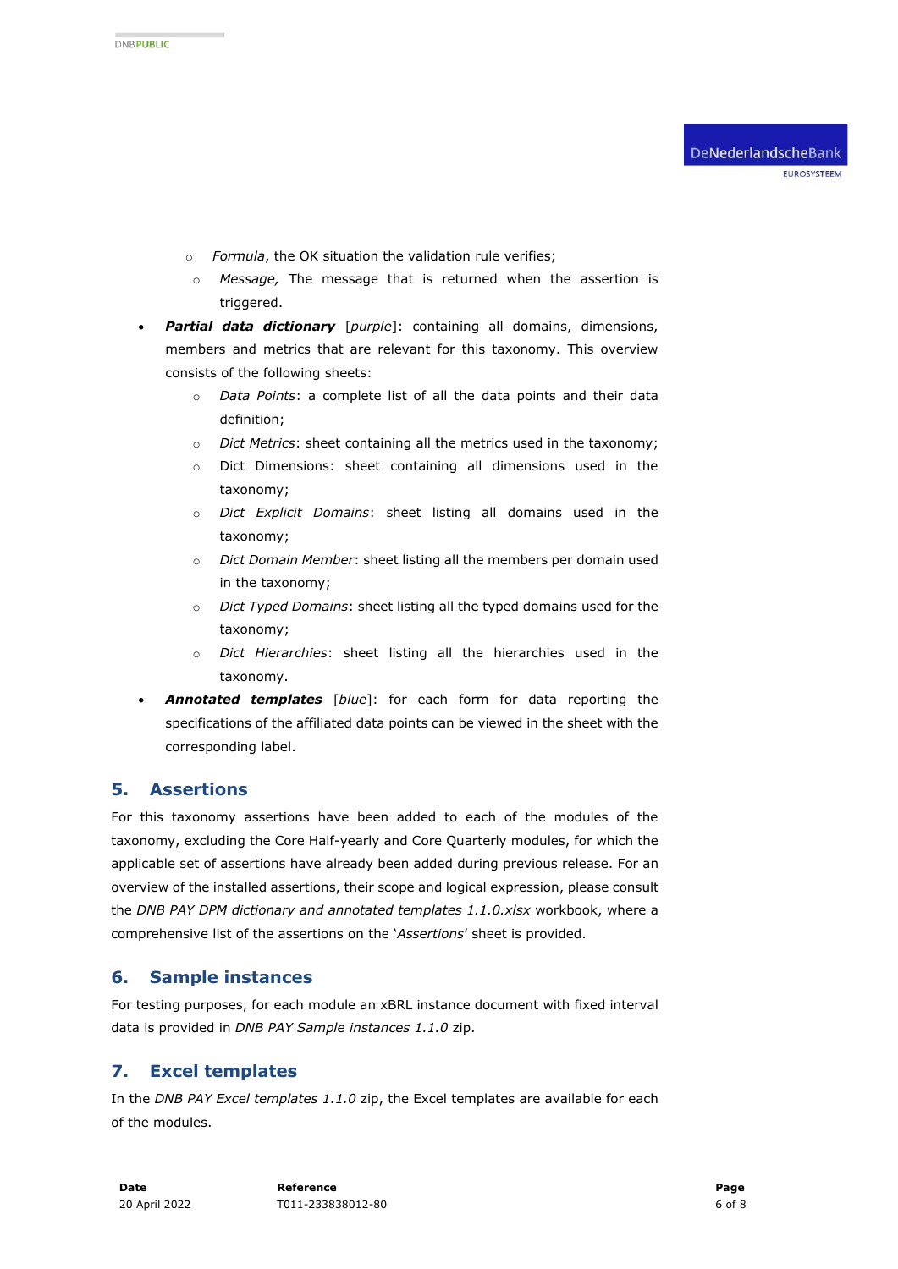- o *Formula*, the OK situation the validation rule verifies;
- o *Message,* The message that is returned when the assertion is triggered.
- *Partial data dictionary* [*purple*]: containing all domains, dimensions, members and metrics that are relevant for this taxonomy. This overview consists of the following sheets:
	- o *Data Points*: a complete list of all the data points and their data definition;
	- o *Dict Metrics*: sheet containing all the metrics used in the taxonomy;
	- o Dict Dimensions: sheet containing all dimensions used in the taxonomy;
	- o *Dict Explicit Domains*: sheet listing all domains used in the taxonomy;
	- o *Dict Domain Member*: sheet listing all the members per domain used in the taxonomy;
	- o *Dict Typed Domains*: sheet listing all the typed domains used for the taxonomy;
	- o *Dict Hierarchies*: sheet listing all the hierarchies used in the taxonomy.
- *Annotated templates* [*blue*]: for each form for data reporting the specifications of the affiliated data points can be viewed in the sheet with the corresponding label.

## **5. Assertions**

For this taxonomy assertions have been added to each of the modules of the taxonomy, excluding the Core Half-yearly and Core Quarterly modules, for which the applicable set of assertions have already been added during previous release. For an overview of the installed assertions, their scope and logical expression, please consult the *DNB PAY DPM dictionary and annotated templates 1.1.0.xlsx* workbook, where a comprehensive list of the assertions on the '*Assertions*' sheet is provided.

## <span id="page-5-0"></span>**6. Sample instances**

For testing purposes, for each module an xBRL instance document with fixed interval data is provided in *DNB PAY Sample instances 1.1.0* zip.

# <span id="page-5-1"></span>**7. Excel templates**

In the *DNB PAY Excel templates 1.1.0* zip, the Excel templates are available for each of the modules.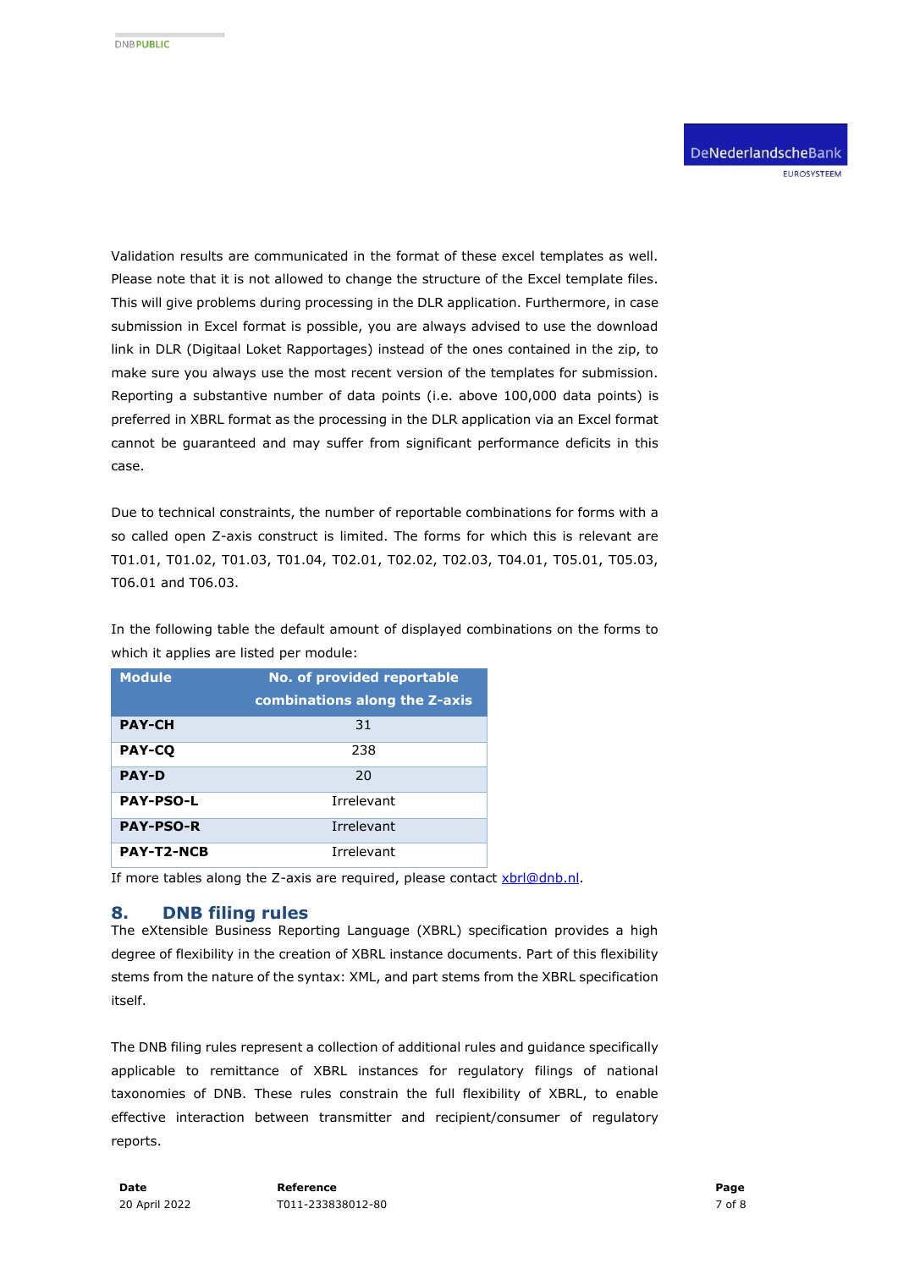Validation results are communicated in the format of these excel templates as well. Please note that it is not allowed to change the structure of the Excel template files. This will give problems during processing in the DLR application. Furthermore, in case submission in Excel format is possible, you are always advised to use the download link in DLR (Digitaal Loket Rapportages) instead of the ones contained in the zip, to make sure you always use the most recent version of the templates for submission. Reporting a substantive number of data points (i.e. above 100,000 data points) is preferred in XBRL format as the processing in the DLR application via an Excel format cannot be guaranteed and may suffer from significant performance deficits in this case.

Due to technical constraints, the number of reportable combinations for forms with a so called open Z-axis construct is limited. The forms for which this is relevant are T01.01, T01.02, T01.03, T01.04, T02.01, T02.02, T02.03, T04.01, T05.01, T05.03, T06.01 and T06.03.

In the following table the default amount of displayed combinations on the forms to which it applies are listed per module:

| <b>Module</b>     | No. of provided reportable    |
|-------------------|-------------------------------|
|                   | combinations along the Z-axis |
| <b>PAY-CH</b>     | 31                            |
| <b>PAY-CO</b>     | 238                           |
| <b>PAY-D</b>      | 20                            |
| <b>PAY-PSO-L</b>  | Irrelevant                    |
| <b>PAY-PSO-R</b>  | Irrelevant                    |
| <b>PAY-T2-NCB</b> | Irrelevant                    |

If more tables along the Z-axis are required, please contact [xbrl@dnb.nl.](mailto:xbrl@dnb.nl)

#### **8. DNB filing rules**

The eXtensible Business Reporting Language (XBRL) specification provides a high degree of flexibility in the creation of XBRL instance documents. Part of this flexibility stems from the nature of the syntax: XML, and part stems from the XBRL specification itself.

The DNB filing rules represent a collection of additional rules and guidance specifically applicable to remittance of XBRL instances for regulatory filings of national taxonomies of DNB. These rules constrain the full flexibility of XBRL, to enable effective interaction between transmitter and recipient/consumer of regulatory reports.